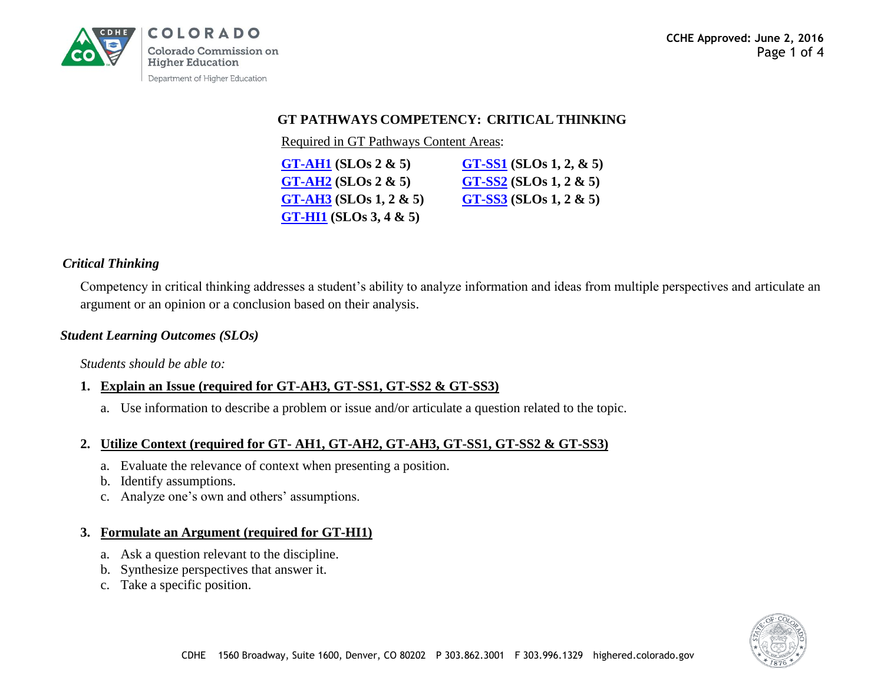

#### **GT PATHWAYS COMPETENCY: CRITICAL THINKING**

Required in GT Pathways Content Areas:

| $GT-AH1(SLOS 2 & 5)$          | $GT-SS1$ (SLOs 1, 2, & 5) |
|-------------------------------|---------------------------|
| $GT-AH2(SLOS 2 & 5)$          | $GT-SS2$ (SLOs 1, 2 & 5)  |
| $GT-AH3(SLOS 1, 2 & 5)$       | $GT-SS3$ (SLOs 1, 2 & 5)  |
| <b>GT-HI1</b> (SLOs 3, 4 & 5) |                           |

#### *Critical Thinking*

Competency in critical thinking addresses a student's ability to analyze information and ideas from multiple perspectives and articulate an argument or an opinion or a conclusion based on their analysis.

#### *Student Learning Outcomes (SLOs)*

*Students should be able to:*

# **1. Explain an Issue (required for GT-AH3, GT-SS1, GT-SS2 & GT-SS3)**

a. Use information to describe a problem or issue and/or articulate a question related to the topic.

# **2. Utilize Context (required for GT- AH1, GT-AH2, GT-AH3, GT-SS1, GT-SS2 & GT-SS3)**

- a. Evaluate the relevance of context when presenting a position.
- b. Identify assumptions.
- c. Analyze one's own and others' assumptions.

### **3. Formulate an Argument (required for GT-HI1)**

- a. Ask a question relevant to the discipline.
- b. Synthesize perspectives that answer it.
- c. Take a specific position.

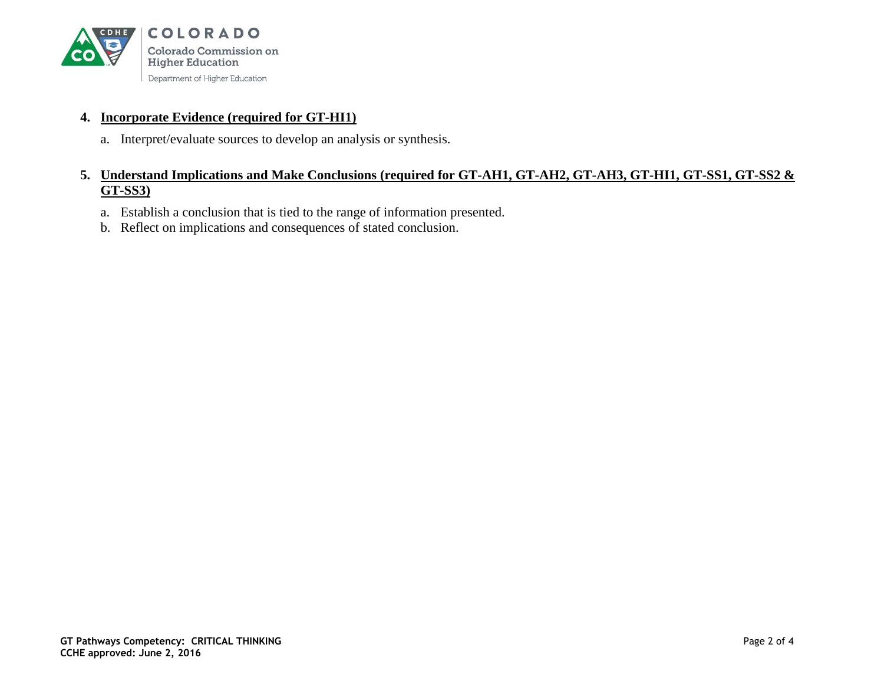

### **4. Incorporate Evidence (required for GT-HI1)**

a. Interpret/evaluate sources to develop an analysis or synthesis.

### **5. Understand Implications and Make Conclusions (required for GT-AH1, GT-AH2, GT-AH3, GT-HI1, GT-SS1, GT-SS2 & GT-SS3)**

- a. Establish a conclusion that is tied to the range of information presented.
- b. Reflect on implications and consequences of stated conclusion.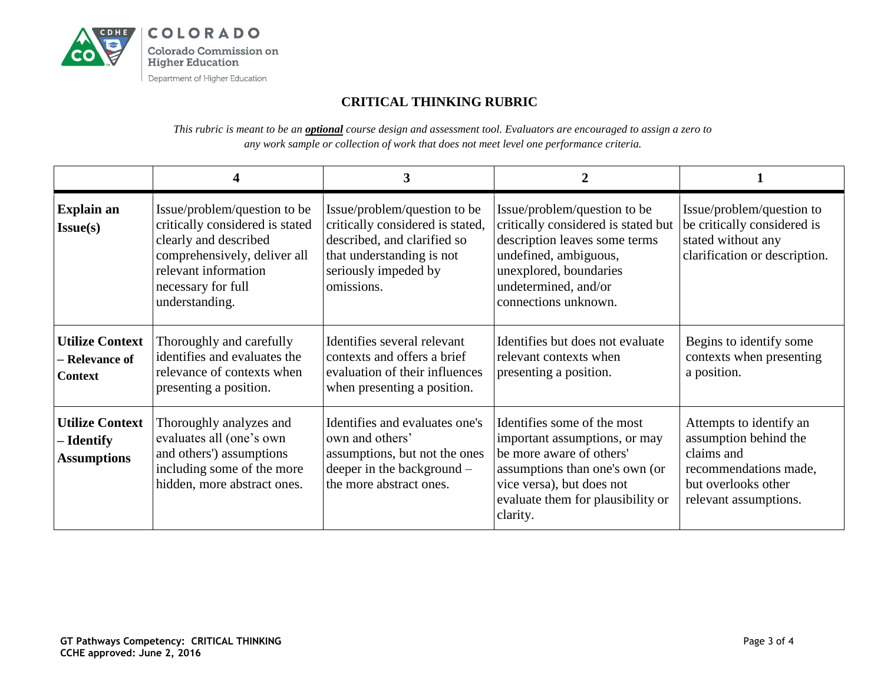

# **CRITICAL THINKING RUBRIC**

*This rubric is meant to be an optional course design and assessment tool. Evaluators are encouraged to assign a zero to any work sample or collection of work that does not meet level one performance criteria.* 

|                                                            |                                                                                                                                                                                          | 3                                                                                                                                                                  | 2                                                                                                                                                                                                        |                                                                                                                                         |
|------------------------------------------------------------|------------------------------------------------------------------------------------------------------------------------------------------------------------------------------------------|--------------------------------------------------------------------------------------------------------------------------------------------------------------------|----------------------------------------------------------------------------------------------------------------------------------------------------------------------------------------------------------|-----------------------------------------------------------------------------------------------------------------------------------------|
| <b>Explain an</b><br>Issue(s)                              | Issue/problem/question to be<br>critically considered is stated<br>clearly and described<br>comprehensively, deliver all<br>relevant information<br>necessary for full<br>understanding. | Issue/problem/question to be<br>critically considered is stated,<br>described, and clarified so<br>that understanding is not<br>seriously impeded by<br>omissions. | Issue/problem/question to be<br>critically considered is stated but<br>description leaves some terms<br>undefined, ambiguous,<br>unexplored, boundaries<br>undetermined, and/or<br>connections unknown.  | Issue/problem/question to<br>be critically considered is<br>stated without any<br>clarification or description.                         |
| <b>Utilize Context</b><br>– Relevance of<br><b>Context</b> | Thoroughly and carefully<br>identifies and evaluates the<br>relevance of contexts when<br>presenting a position.                                                                         | Identifies several relevant<br>contexts and offers a brief<br>evaluation of their influences<br>when presenting a position.                                        | Identifies but does not evaluate<br>relevant contexts when<br>presenting a position.                                                                                                                     | Begins to identify some<br>contexts when presenting<br>a position.                                                                      |
| <b>Utilize Context</b><br>– Identify<br><b>Assumptions</b> | Thoroughly analyzes and<br>evaluates all (one's own<br>and others') assumptions<br>including some of the more<br>hidden, more abstract ones.                                             | Identifies and evaluates one's<br>own and others'<br>assumptions, but not the ones<br>deeper in the background –<br>the more abstract ones.                        | Identifies some of the most<br>important assumptions, or may<br>be more aware of others'<br>assumptions than one's own (or<br>vice versa), but does not<br>evaluate them for plausibility or<br>clarity. | Attempts to identify an<br>assumption behind the<br>claims and<br>recommendations made,<br>but overlooks other<br>relevant assumptions. |